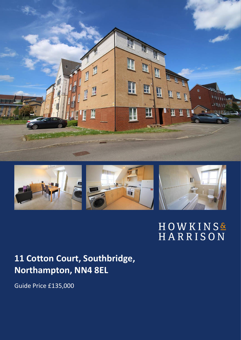



# HOWKINS&<br>HARRISON

## **11 Cotton Court, Southbridge, Northampton, NN4 8EL**

Guide Price £135,000